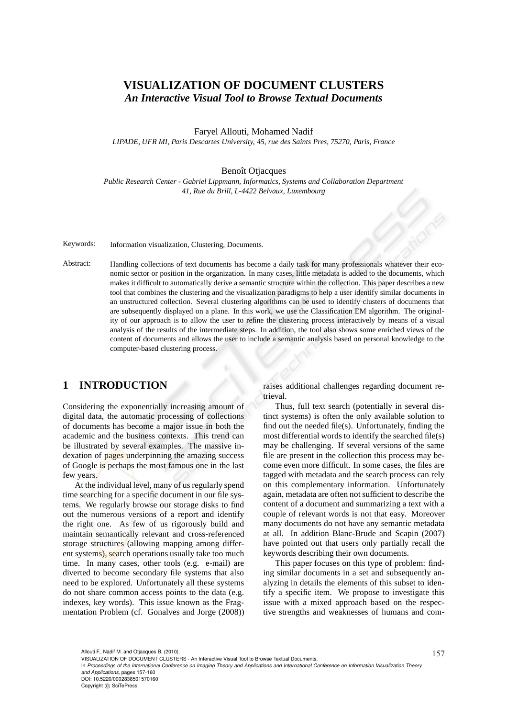# **VISUALIZATION OF DOCUMENT CLUSTERS** *An Interactive Visual Tool to Browse Textual Documents*

Faryel Allouti, Mohamed Nadif

*LIPADE, UFR MI, Paris Descartes University, 45, rue des Saints Pres, 75270, Paris, France*

#### Benoît Otjacques

*Public Research Center - Gabriel Lippmann, Informatics, Systems and Collaboration Department 41, Rue du Brill, L-4422 Belvaux, Luxembourg*

Keywords: Information visualization, Clustering, Documents.

Abstract: Handling collections of text documents has become a daily task for many professionals whatever their economic sector or position in the organization. In many cases, little metadata is added to the documents, which makes it difficult to automatically derive a semantic structure within the collection. This paper describes a new tool that combines the clustering and the visualization paradigms to help a user identify similar documents in an unstructured collection. Several clustering algorithms can be used to identify clusters of documents that are subsequently displayed on a plane. In this work, we use the Classification EM algorithm. The originality of our approach is to allow the user to refine the clustering process interactively by means of a visual analysis of the results of the intermediate steps. In addition, the tool also shows some enriched views of the content of documents and allows the user to include a semantic analysis based on personal knowledge to the computer-based clustering process.

### **1 INTRODUCTION**

Considering the exponentially increasing amount of digital data, the automatic processing of collections of documents has become a major issue in both the academic and the business contexts. This trend can be illustrated by several examples. The massive indexation of pages underpinning the amazing success of Google is perhaps the most famous one in the last few years.

At the individual level, many of us regularly spend time searching for a specific document in our file systems. We regularly browse our storage disks to find out the numerous versions of a report and identify the right one. As few of us rigorously build and maintain semantically relevant and cross-referenced storage structures (allowing mapping among different systems), search operations usually take too much time. In many cases, other tools (e.g. e-mail) are diverted to become secondary file systems that also need to be explored. Unfortunately all these systems do not share common access points to the data (e.g. indexes, key words). This issue known as the Fragmentation Problem (cf. Gonalves and Jorge (2008)) raises additional challenges regarding document retrieval.

Thus, full text search (potentially in several distinct systems) is often the only available solution to find out the needed file(s). Unfortunately, finding the most differential words to identify the searched file(s) may be challenging. If several versions of the same file are present in the collection this process may become even more difficult. In some cases, the files are tagged with metadata and the search process can rely on this complementary information. Unfortunately again, metadata are often not sufficient to describe the content of a document and summarizing a text with a couple of relevant words is not that easy. Moreover many documents do not have any semantic metadata at all. In addition Blanc-Brude and Scapin (2007) have pointed out that users only partially recall the keywords describing their own documents.

This paper focuses on this type of problem: finding similar documents in a set and subsequently analyzing in details the elements of this subset to identify a specific item. We propose to investigate this issue with a mixed approach based on the respective strengths and weaknesses of humans and com-

In *Proceedings of the International Conference on Imaging Theory and Applications and International Conference on Information Visualization Theory and Applications*, pages 157-160 DOI: 10.5220/0002838501570160 Copyright © SciTePress

Allouti F., Nadif M. and Otjacques B. (2010).<br>VISUALIZATION OF DOCUMENT CLUSTERS - An Interactive Visual Tool to Browse Textual Documents.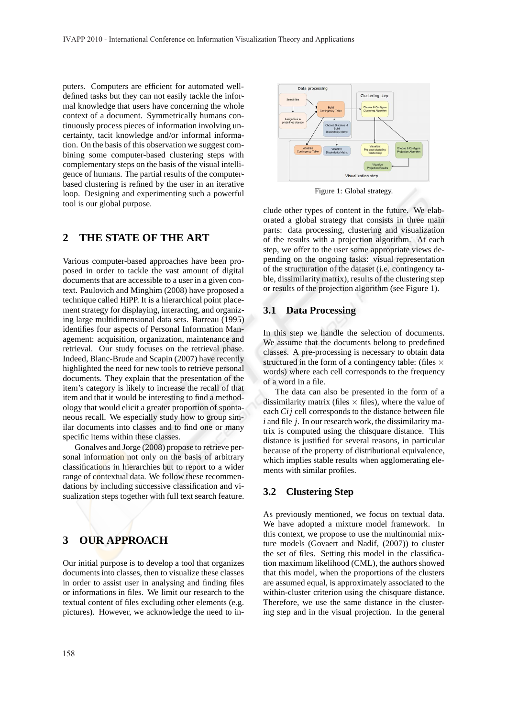puters. Computers are efficient for automated welldefined tasks but they can not easily tackle the informal knowledge that users have concerning the whole context of a document. Symmetrically humans continuously process pieces of information involving uncertainty, tacit knowledge and/or informal information. On the basis of this observation we suggest combining some computer-based clustering steps with complementary steps on the basis of the visual intelligence of humans. The partial results of the computerbased clustering is refined by the user in an iterative loop. Designing and experimenting such a powerful tool is our global purpose.

# **2 THE STATE OF THE ART**

Various computer-based approaches have been proposed in order to tackle the vast amount of digital documents that are accessible to a user in a given context. Paulovich and Minghim (2008) have proposed a technique called HiPP. It is a hierarchical point placement strategy for displaying, interacting, and organizing large multidimensional data sets. Barreau (1995) identifies four aspects of Personal Information Management: acquisition, organization, maintenance and retrieval. Our study focuses on the retrieval phase. Indeed, Blanc-Brude and Scapin (2007) have recently highlighted the need for new tools to retrieve personal documents. They explain that the presentation of the item's category is likely to increase the recall of that item and that it would be interesting to find a methodology that would elicit a greater proportion of spontaneous recall. We especially study how to group similar documents into classes and to find one or many specific items within these classes.

Gonalves and Jorge (2008) propose to retrieve personal information not only on the basis of arbitrary classifications in hierarchies but to report to a wider range of contextual data. We follow these recommendations by including successive classification and visualization steps together with full text search feature.

# **3 OUR APPROACH**

Our initial purpose is to develop a tool that organizes documents into classes, then to visualize these classes in order to assist user in analysing and finding files or informations in files. We limit our research to the textual content of files excluding other elements (e.g. pictures). However, we acknowledge the need to in-



Figure 1: Global strategy.

clude other types of content in the future. We elaborated a global strategy that consists in three main parts: data processing, clustering and visualization of the results with a projection algorithm. At each step, we offer to the user some appropriate views depending on the ongoing tasks: visual representation of the structuration of the dataset (i.e. contingency table, dissimilarity matrix), results of the clustering step or results of the projection algorithm (see Figure 1).

#### **3.1 Data Processing**

In this step we handle the selection of documents. We assume that the documents belong to predefined classes. A pre-processing is necessary to obtain data structured in the form of a contingency table: (files  $\times$ words) where each cell corresponds to the frequency of a word in a file.

The data can also be presented in the form of a dissimilarity matrix (files  $\times$  files), where the value of each *Ci j* cell corresponds to the distance between file *i* and file *j*. In our research work, the dissimilarity matrix is computed using the chisquare distance. This distance is justified for several reasons, in particular because of the property of distributional equivalence, which implies stable results when agglomerating elements with similar profiles.

#### **3.2 Clustering Step**

As previously mentioned, we focus on textual data. We have adopted a mixture model framework. In this context, we propose to use the multinomial mixture models (Govaert and Nadif, (2007)) to cluster the set of files. Setting this model in the classification maximum likelihood (CML), the authors showed that this model, when the proportions of the clusters are assumed equal, is approximately associated to the within-cluster criterion using the chisquare distance. Therefore, we use the same distance in the clustering step and in the visual projection. In the general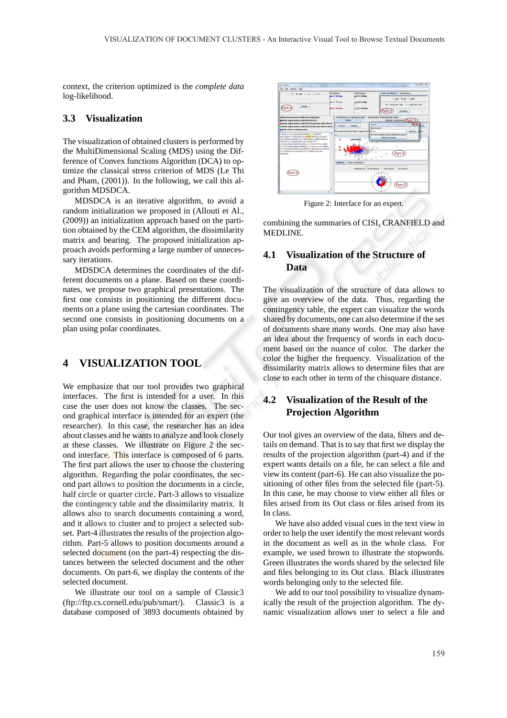context, the criterion optimized is the *complete data* log-likelihood.

#### **3.3 Visualization**

The visualization of obtained clusters is performed by the MultiDimensional Scaling (MDS) using the Difference of Convex functions Algorithm (DCA) to optimize the classical stress criterion of MDS (Le Thi and Pham, (2001)). In the following, we call this algorithm MDSDCA.

MDSDCA is an iterative algorithm, to avoid a random initialization we proposed in (Allouti et Al., (2009)) an initialization approach based on the partition obtained by the CEM algorithm, the dissimilarity matrix and bearing. The proposed initialization approach avoids performing a large number of unnecessary iterations.

MDSDCA determines the coordinates of the different documents on a plane. Based on these coordinates, we propose two graphical presentations. The first one consists in positioning the different documents on a plane using the cartesian coordinates. The second one consists in positioning documents on a plan using polar coordinates.

### **4 VISUALIZATION TOOL**

We emphasize that our tool provides two graphical interfaces. The first is intended for a user. In this case the user does not know the classes. The second graphical interface is intended for an expert (the researcher). In this case, the researcher has an idea about classes and he wants to analyze and look closely at these classes. We illustrate on Figure 2 the second interface. This interface is composed of 6 parts. The first part allows the user to choose the clustering algorithm. Regarding the polar coordinates, the second part allows to position the documents in a circle, half circle or quarter circle. Part-3 allows to visualize the contingency table and the dissimilarity matrix. It allows also to search documents containing a word, and it allows to cluster and to project a selected subset. Part-4 illustrates the results of the projection algorithm. Part-5 allows to position documents around a selected document (on the part-4) respecting the distances between the selected document and the other documents. On part-6, we display the contents of the selected document.

We illustrate our tool on a sample of Classic3 (ftp://ftp.cs.cornell.edu/pub/smart/). Classic3 is a database composed of 3893 documents obtained by



Figure 2: Interface for an expert.

combining the summaries of CISI, CRANFIELD and MEDLINE.

### **4.1 Visualization of the Structure of Data**

The visualization of the structure of data allows to give an overview of the data. Thus, regarding the contingency table, the expert can visualize the words shared by documents, one can also determine if the set of documents share many words. One may also have an idea about the frequency of words in each document based on the nuance of color. The darker the color the higher the frequency. Visualization of the dissimilarity matrix allows to determine files that are close to each other in term of the chisquare distance.

# **4.2 Visualization of the Result of the Projection Algorithm**

Our tool gives an overview of the data, filters and details on demand. That is to say that first we display the results of the projection algorithm (part-4) and if the expert wants details on a file, he can select a file and view its content (part-6). He can also visualize the positioning of other files from the selected file (part-5). In this case, he may choose to view either all files or files arised from its Out class or files arised from its In class.

We have also added visual cues in the text view in order to help the user identify the most relevant words in the document as well as in the whole class. For example, we used brown to illustrate the stopwords. Green illustrates the words shared by the selected file and files belonging to its Out class. Black illustrates words belonging only to the selected file.

We add to our tool possibility to visualize dynamically the result of the projection algorithm. The dynamic visualization allows user to select a file and